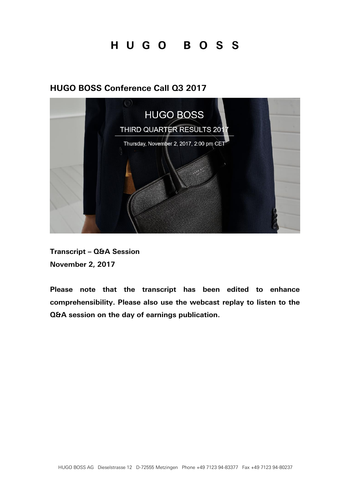### **HUGO BOSS Conference Call Q3 2017**



**Transcript – Q&A Session November 2, 2017**

*Please note that the transcript has been edited to enhance comprehensibility. Please also use the webcast replay to listen to the Q&A session on the day of earnings publication.*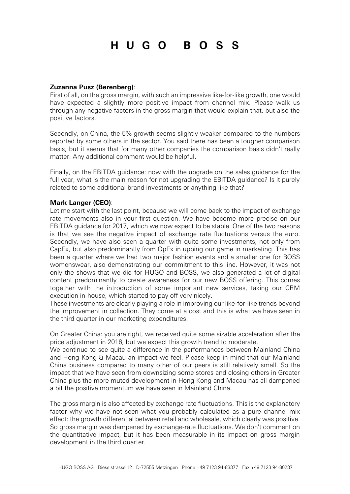#### **Zuzanna Pusz (Berenberg)**:

First of all, on the gross margin, with such an impressive like-for-like growth, one would have expected a slightly more positive impact from channel mix. Please walk us through any negative factors in the gross margin that would explain that, but also the positive factors.

Secondly, on China, the 5% growth seems slightly weaker compared to the numbers reported by some others in the sector. You said there has been a tougher comparison basis, but it seems that for many other companies the comparison basis didn't really matter. Any additional comment would be helpful.

Finally, on the EBITDA guidance: now with the upgrade on the sales guidance for the full year, what is the main reason for not upgrading the EBITDA guidance? Is it purely related to some additional brand investments or anything like that?

#### **Mark Langer (CEO)**:

Let me start with the last point, because we will come back to the impact of exchange rate movements also in your first question. We have become more precise on our EBITDA guidance for 2017, which we now expect to be stable. One of the two reasons is that we see the negative impact of exchange rate fluctuations versus the euro. Secondly, we have also seen a quarter with quite some investments, not only from CapEx, but also predominantly from OpEx in upping our game in marketing. This has been a quarter where we had two major fashion events and a smaller one for BOSS womenswear, also demonstrating our commitment to this line. However, it was not only the shows that we did for HUGO and BOSS, we also generated a lot of digital content predominantly to create awareness for our new BOSS offering. This comes together with the introduction of some important new services, taking our CRM execution in-house, which started to pay off very nicely.

These investments are clearly playing a role in improving our like-for-like trends beyond the improvement in collection. They come at a cost and this is what we have seen in the third quarter in our marketing expenditures.

On Greater China: you are right, we received quite some sizable acceleration after the price adjustment in 2016, but we expect this growth trend to moderate.

We continue to see quite a difference in the performances between Mainland China and Hong Kong & Macau an impact we feel. Please keep in mind that our Mainland China business compared to many other of our peers is still relatively small. So the impact that we have seen from downsizing some stores and closing others in Greater China plus the more muted development in Hong Kong and Macau has all dampened a bit the positive momentum we have seen in Mainland China.

The gross margin is also affected by exchange rate fluctuations. This is the explanatory factor why we have not seen what you probably calculated as a pure channel mix effect: the growth differential between retail and wholesale, which clearly was positive. So gross margin was dampened by exchange-rate fluctuations. We don't comment on the quantitative impact, but it has been measurable in its impact on gross margin development in the third quarter.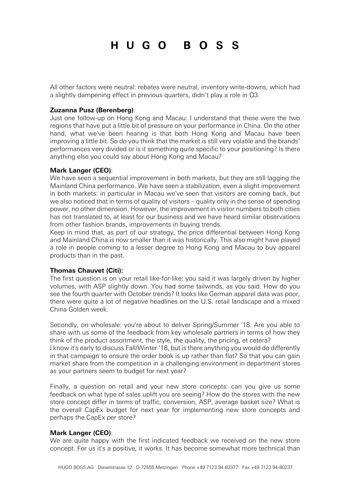All other factors were neutral: rebates were neutral, inventory write-downs, which had a slightly dampening effect in previous quarters, didn't play a role in Q3.

#### **Zuzanna Pusz (Berenberg)**:

Just one follow-up on Hong Kong and Macau: I understand that these were the two regions that have put a little bit of pressure on your performance in China. On the other hand, what we've been hearing is that both Hong Kong and Macau have been improving a little bit. So do you think that the market is still very volatile and the brands' performances very divided or is it something quite specific to your positioning? Is there anything else you could say about Hong Kong and Macau?

#### **Mark Langer (CEO)**:

We have seen a sequential improvement in both markets, but they are still lagging the Mainland China performance. We have seen a stabilization, even a slight improvement in both markets: in particular in Macau we've seen that visitors are coming back, but we also noticed that in terms of quality of visitors – quality only in the sense of spending power, no other dimension. However, the improvement in visitor numbers to both cities has not translated to, at least for our business and we have heard similar observations from other fashion brands, improvements in buying trends.

Keep in mind that, as part of our strategy, the price differential between Hong Kong and Mainland China is now smaller than it was historically. This also might have played a role in people coming to a lesser degree to Hong Kong and Macau to buy apparel products than in the past.

#### **Thomas Chauvet (Citi):**

The first question is on your retail like-for-like: you said it was largely driven by higher volumes, with ASP slightly down. You had some tailwinds, as you said. How do you see the fourth quarter with October trends? It looks like German apparel data was poor, there were quite a lot of negative headlines on the U.S. retail landscape and a mixed China Golden week.

Secondly, on wholesale: you're about to deliver Spring/Summer '18. Are you able to share with us some of the feedback from key wholesale partners in terms of how they think of the product assortment, the style, the quality, the pricing, et cetera? I know it's early to discuss Fall/Winter '18, but is there anything you would do differently in that campaign to ensure the order book is up rather than flat? So that you can gain market share from the competition in a challenging environment in department stores as your partners seem to budget for next year?

Finally, a question on retail and your new store concepts: can you give us some feedback on what type of sales uplift you are seeing? How do the stores with the new store concept differ in terms of traffic, conversion, ASP, average basket size? What is the overall CapEx budget for next year for implementing new store concepts and perhaps the CapEx per store?

#### **Mark Langer (CEO)**:

We are quite happy with the first indicated feedback we received on the new store concept. For us it's a positive, it works. It has become somewhat more technical than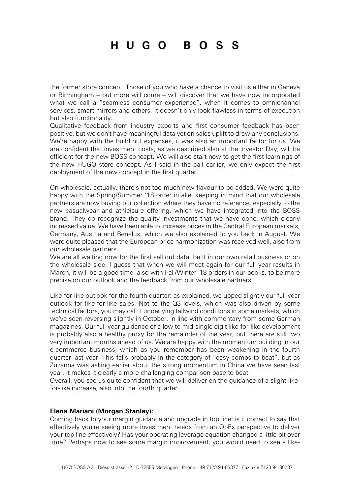the former store concept. Those of you who have a chance to visit us either in Geneva or Birmingham – but more will come – will discover that we have now incorporated what we call a "seamless consumer experience", when it comes to omnichannel services, smart mirrors and others. It doesn't only look flawless in terms of execution but also functionality.

Qualitative feedback from industry experts and first consumer feedback has been positive, but we don't have meaningful data yet on sales uplift to draw any conclusions. We're happy with the build out expenses, it was also an important factor for us. We are confident that investment costs, as we described also at the Investor Day, will be efficient for the new BOSS concept. We will also start now to get the first learnings of the new HUGO store concept. As I said in the call earlier, we only expect the first deployment of the new concept in the first quarter.

On wholesale, actually, there's not too much new flavour to be added. We were quite happy with the Spring/Summer '18 order intake, keeping in mind that our wholesale partners are now buying our collection where they have no reference, especially to the new casualwear and athleisure offering, which we have integrated into the BOSS brand. They do recognize the quality investments that we have done, which clearly increased value. We have been able to increase prices in the Central European markets, Germany, Austria and Benelux, which we also explained to you back in August. We were quite pleased that the European price harmonization was received well, also from our wholesale partners.

We are all waiting now for the first sell out data, be it in our own retail business or on the wholesale side. I guess that when we will meet again for our full year results in March, it will be a good time, also with Fall/Winter '18 orders in our books, to be more precise on our outlook and the feedback from our wholesale partners.

Like-for-like outlook for the fourth quarter: as explained, we upped slightly our full year outlook for like-for-like sales. Not to the Q3 levels, which was also driven by some technical factors, you may call it underlying tailwind conditions in some markets, which we've seen reversing slightly in October, in line with commentary from some German magazines. Our full year guidance of a low to mid-single digit like-for-like development is probably also a healthy proxy for the remainder of the year, but there are still two very important months ahead of us. We are happy with the momentum building in our e-commerce business, which as you remember has been weakening in the fourth quarter last year. This falls probably in the category of "easy comps to beat", but as Zuzanna was asking earlier about the strong momentum in China we have seen last year, it makes it clearly a more challenging comparison base to beat.

Overall, you see us quite confident that we will deliver on the guidance of a slight likefor-like increase, also into the fourth quarter.

#### **Elena Mariani (Morgan Stanley):**

Coming back to your margin guidance and upgrade in top line: is it correct to say that effectively you're seeing more investment needs from an OpEx perspective to deliver your top line effectively? Has your operating leverage equation changed a little bit over time? Perhaps now to see some margin improvement, you would need to see a like-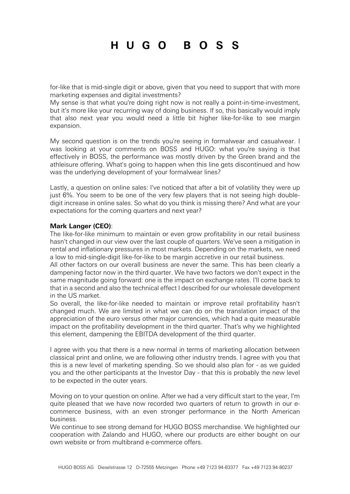for-like that is mid-single digit or above, given that you need to support that with more marketing expenses and digital investments?

My sense is that what you're doing right now is not really a point-in-time-investment, but it's more like your recurring way of doing business. If so, this basically would imply that also next year you would need a little bit higher like-for-like to see margin expansion.

My second question is on the trends you're seeing in formalwear and casualwear. I was looking at your comments on BOSS and HUGO: what you're saying is that effectively in BOSS, the performance was mostly driven by the Green brand and the athleisure offering. What's going to happen when this line gets discontinued and how was the underlying development of your formalwear lines?

Lastly, a question on online sales: I've noticed that after a bit of volatility they were up just 6%. You seem to be one of the very few players that is not seeing high doubledigit increase in online sales. So what do you think is missing there? And what are your expectations for the coming quarters and next year?

#### **Mark Langer (CEO)**:

The like-for-like minimum to maintain or even grow profitability in our retail business hasn't changed in our view over the last couple of quarters. We've seen a mitigation in rental and inflationary pressures in most markets. Depending on the markets, we need a low to mid-single-digit like-for-like to be margin accretive in our retail business.

All other factors on our overall business are never the same. This has been clearly a dampening factor now in the third quarter. We have two factors we don't expect in the same magnitude going forward: one is the impact on exchange rates. I'll come back to that in a second and also the technical effect I described for our wholesale development in the US market.

So overall, the like-for-like needed to maintain or improve retail profitability hasn't changed much. We are limited in what we can do on the translation impact of the appreciation of the euro versus other major currencies, which had a quite measurable impact on the profitability development in the third quarter. That's why we highlighted this element, dampening the EBITDA development of the third quarter.

I agree with you that there is a new normal in terms of marketing allocation between classical print and online, we are following other industry trends. I agree with you that this is a new level of marketing spending. So we should also plan for - as we guided you and the other participants at the Investor Day - that this is probably the new level to be expected in the outer years.

Moving on to your question on online. After we had a very difficult start to the year, I'm quite pleased that we have now recorded two quarters of return to growth in our ecommerce business, with an even stronger performance in the North American business.

We continue to see strong demand for HUGO BOSS merchandise. We highlighted our cooperation with Zalando and HUGO, where our products are either bought on our own website or from multibrand e-commerce offers.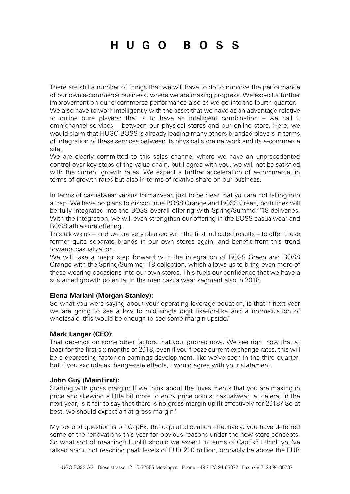There are still a number of things that we will have to do to improve the performance of our own e-commerce business, where we are making progress. We expect a further improvement on our e-commerce performance also as we go into the fourth quarter.

We also have to work intelligently with the asset that we have as an advantage relative to online pure players: that is to have an intelligent combination – we call it omnichannel-services – between our physical stores and our online store. Here, we would claim that HUGO BOSS is already leading many others branded players in terms of integration of these services between its physical store network and its e-commerce site.

We are clearly committed to this sales channel where we have an unprecedented control over key steps of the value chain, but I agree with you, we will not be satisfied with the current growth rates. We expect a further acceleration of e-commerce, in terms of growth rates but also in terms of relative share on our business.

In terms of casualwear versus formalwear, just to be clear that you are not falling into a trap. We have no plans to discontinue BOSS Orange and BOSS Green, both lines will be fully integrated into the BOSS overall offering with Spring/Summer '18 deliveries. With the integration, we will even strengthen our offering in the BOSS casualwear and BOSS athleisure offering.

This allows us – and we are very pleased with the first indicated results – to offer these former quite separate brands in our own stores again, and benefit from this trend towards casualization.

We will take a major step forward with the integration of BOSS Green and BOSS Orange with the Spring/Summer '18 collection, which allows us to bring even more of these wearing occasions into our own stores. This fuels our confidence that we have a sustained growth potential in the men casualwear segment also in 2018.

#### **Elena Mariani (Morgan Stanley):**

So what you were saying about your operating leverage equation, is that if next year we are going to see a low to mid single digit like-for-like and a normalization of wholesale, this would be enough to see some margin upside?

#### **Mark Langer (CEO)**:

That depends on some other factors that you ignored now. We see right now that at least for the first six months of 2018, even if you freeze current exchange rates, this will be a depressing factor on earnings development, like we've seen in the third quarter, but if you exclude exchange-rate effects, I would agree with your statement.

#### **John Guy (MainFirst):**

Starting with gross margin: If we think about the investments that you are making in price and skewing a little bit more to entry price points, casualwear, et cetera, in the next year, is it fair to say that there is no gross margin uplift effectively for 2018? So at best, we should expect a flat gross margin?

My second question is on CapEx, the capital allocation effectively: you have deferred some of the renovations this year for obvious reasons under the new store concepts. So what sort of meaningful uplift should we expect in terms of CapEx? I think you've talked about not reaching peak levels of EUR 220 million, probably be above the EUR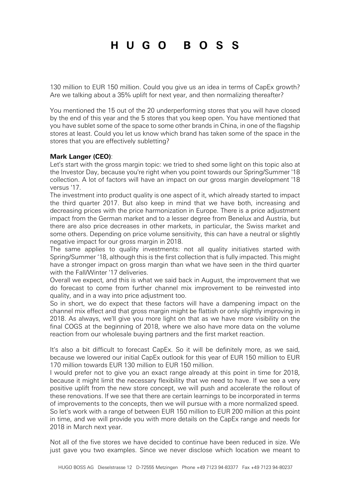130 million to EUR 150 million. Could you give us an idea in terms of CapEx growth? Are we talking about a 35% uplift for next year, and then normalizing thereafter?

You mentioned the 15 out of the 20 underperforming stores that you will have closed by the end of this year and the 5 stores that you keep open. You have mentioned that you have sublet some of the space to some other brands in China, in one of the flagship stores at least. Could you let us know which brand has taken some of the space in the stores that you are effectively subletting?

#### **Mark Langer (CEO)**:

Let's start with the gross margin topic: we tried to shed some light on this topic also at the Investor Day, because you're right when you point towards our Spring/Summer '18 collection. A lot of factors will have an impact on our gross margin development '18 versus '17.

The investment into product quality is one aspect of it, which already started to impact the third quarter 2017. But also keep in mind that we have both, increasing and decreasing prices with the price harmonization in Europe. There is a price adjustment impact from the German market and to a lesser degree from Benelux and Austria, but there are also price decreases in other markets, in particular, the Swiss market and some others. Depending on price volume sensitivity, this can have a neutral or slightly negative impact for our gross margin in 2018.

The same applies to quality investments: not all quality initiatives started with Spring/Summer '18, although this is the first collection that is fully impacted. This might have a stronger impact on gross margin than what we have seen in the third quarter with the Fall/Winter '17 deliveries.

Overall we expect, and this is what we said back in August, the improvement that we do forecast to come from further channel mix improvement to be reinvested into quality, and in a way into price adjustment too.

So in short, we do expect that these factors will have a dampening impact on the channel mix effect and that gross margin might be flattish or only slightly improving in 2018. As always, we'll give you more light on that as we have more visibility on the final COGS at the beginning of 2018, where we also have more data on the volume reaction from our wholesale buying partners and the first market reaction.

It's also a bit difficult to forecast CapEx. So it will be definitely more, as we said, because we lowered our initial CapEx outlook for this year of EUR 150 million to EUR 170 million towards EUR 130 million to EUR 150 million.

I would prefer not to give you an exact range already at this point in time for 2018, because it might limit the necessary flexibility that we need to have. If we see a very positive uplift from the new store concept, we will push and accelerate the rollout of these renovations. If we see that there are certain learnings to be incorporated in terms of improvements to the concepts, then we will pursue with a more normalized speed. So let's work with a range of between EUR 150 million to EUR 200 million at this point in time, and we will provide you with more details on the CapEx range and needs for 2018 in March next year.

Not all of the five stores we have decided to continue have been reduced in size. We just gave you two examples. Since we never disclose which location we meant to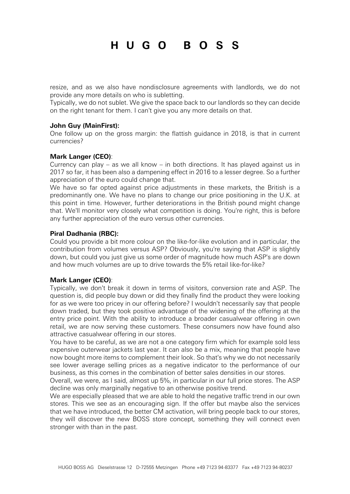resize, and as we also have nondisclosure agreements with landlords, we do not provide any more details on who is subletting.

Typically, we do not sublet. We give the space back to our landlords so they can decide on the right tenant for them. I can't give you any more details on that.

#### **John Guy (MainFirst):**

One follow up on the gross margin: the flattish guidance in 2018, is that in current currencies?

#### **Mark Langer (CEO)**:

Currency can play – as we all know – in both directions. It has played against us in 2017 so far, it has been also a dampening effect in 2016 to a lesser degree. So a further appreciation of the euro could change that.

We have so far opted against price adjustments in these markets, the British is a predominantly one. We have no plans to change our price positioning in the U.K. at this point in time. However, further deteriorations in the British pound might change that. We'll monitor very closely what competition is doing. You're right, this is before any further appreciation of the euro versus other currencies.

#### **Piral Dadhania (RBC):**

Could you provide a bit more colour on the like-for-like evolution and in particular, the contribution from volumes versus ASP? Obviously, you're saying that ASP is slightly down, but could you just give us some order of magnitude how much ASP's are down and how much volumes are up to drive towards the 5% retail like-for-like?

#### **Mark Langer (CEO)**:

Typically, we don't break it down in terms of visitors, conversion rate and ASP. The question is, did people buy down or did they finally find the product they were looking for as we were too pricey in our offering before? I wouldn't necessarily say that people down traded, but they took positive advantage of the widening of the offering at the entry price point. With the ability to introduce a broader casualwear offering in own retail, we are now serving these customers. These consumers now have found also attractive casualwear offering in our stores.

You have to be careful, as we are not a one category firm which for example sold less expensive outerwear jackets last year. It can also be a mix, meaning that people have now bought more items to complement their look. So that's why we do not necessarily see lower average selling prices as a negative indicator to the performance of our business, as this comes in the combination of better sales densities in our stores.

Overall, we were, as I said, almost up 5%, in particular in our full price stores. The ASP decline was only marginally negative to an otherwise positive trend.

We are especially pleased that we are able to hold the negative traffic trend in our own stores. This we see as an encouraging sign. If the offer but maybe also the services that we have introduced, the better CM activation, will bring people back to our stores, they will discover the new BOSS store concept, something they will connect even stronger with than in the past.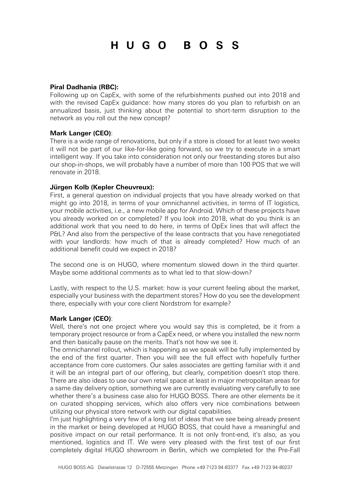#### **Piral Dadhania (RBC):**

Following up on CapEx, with some of the refurbishments pushed out into 2018 and with the revised CapEx guidance: how many stores do you plan to refurbish on an annualized basis, just thinking about the potential to short-term disruption to the network as you roll out the new concept?

#### **Mark Langer (CEO)**:

There is a wide range of renovations, but only if a store is closed for at least two weeks it will not be part of our like-for-like going forward, so we try to execute in a smart intelligent way. If you take into consideration not only our freestanding stores but also our shop-in-shops, we will probably have a number of more than 100 POS that we will renovate in 2018.

#### **Jürgen Kolb (Kepler Cheuvreux):**

First, a general question on individual projects that you have already worked on that might go into 2018, in terms of your omnichannel activities, in terms of IT logistics, your mobile activities, i.e., a new mobile app for Android. Which of these projects have you already worked on or completed? If you look into 2018, what do you think is an additional work that you need to do here, in terms of OpEx lines that will affect the P&L? And also from the perspective of the lease contracts that you have renegotiated with your landlords: how much of that is already completed? How much of an additional benefit could we expect in 2018?

The second one is on HUGO, where momentum slowed down in the third quarter. Maybe some additional comments as to what led to that slow-down?

Lastly, with respect to the U.S. market: how is your current feeling about the market, especially your business with the department stores? How do you see the development there, especially with your core client Nordstrom for example?

#### **Mark Langer (CEO)**:

Well, there's not one project where you would say this is completed, be it from a temporary project resource or from a CapEx need, or where you installed the new norm and then basically pause on the merits. That's not how we see it.

The omnichannel rollout, which is happening as we speak will be fully implemented by the end of the first quarter. Then you will see the full effect with hopefully further acceptance from core customers. Our sales associates are getting familiar with it and it will be an integral part of our offering, but clearly, competition doesn't stop there. There are also ideas to use our own retail space at least in major metropolitan areas for a same day delivery option, something we are currently evaluating very carefully to see whether there's a business case also for HUGO BOSS. There are other elements be it on curated shopping services, which also offers very nice combinations between utilizing our physical store network with our digital capabilities.

I'm just highlighting a very few of a long list of ideas that we see being already present in the market or being developed at HUGO BOSS, that could have a meaningful and positive impact on our retail performance. It is not only front-end, it's also, as you mentioned, logistics and IT. We were very pleased with the first test of our first completely digital HUGO showroom in Berlin, which we completed for the Pre-Fall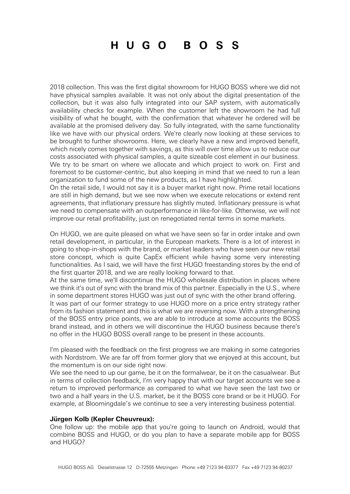2018 collection. This was the first digital showroom for HUGO BOSS where we did not have physical samples available. It was not only about the digital presentation of the collection, but it was also fully integrated into our SAP system, with automatically availability checks for example. When the customer left the showroom he had full visibility of what he bought, with the confirmation that whatever he ordered will be available at the promised delivery day. So fully integrated, with the same functionality like we have with our physical orders. We're clearly now looking at these services to be brought to further showrooms. Here, we clearly have a new and improved benefit, which nicely comes together with savings, as this will over time allow us to reduce our costs associated with physical samples, a quite sizeable cost element in our business. We try to be smart on where we allocate and which project to work on. First and foremost to be customer-centric, but also keeping in mind that we need to run a lean organization to fund some of the new products, as I have highlighted.

On the retail side, I would not say it is a buyer market right now. Prime retail locations are still in high demand, but we see now when we execute relocations or extend rent agreements, that inflationary pressure has slightly muted. Inflationary pressure is what we need to compensate with an outperformance in like-for-like. Otherwise, we will not improve our retail profitability, just on renegotiated rental terms in some markets.

On HUGO, we are quite pleased on what we have seen so far in order intake and own retail development, in particular, in the European markets. There is a lot of interest in going to shop-in-shops with the brand, or market leaders who have seen our new retail store concept, which is quite CapEx efficient while having some very interesting functionalities. As I said, we will have the first HUGO freestanding stores by the end of the first quarter 2018, and we are really looking forward to that.

At the same time, we'll discontinue the HUGO wholesale distribution in places where we think it's out of sync with the brand mix of this partner. Especially in the U.S., where in some department stores HUGO was just out of sync with the other brand offering. It was part of our former strategy to use HUGO more on a price entry strategy rather from its fashion statement and this is what we are reversing now. With a strengthening of the BOSS entry price points, we are able to introduce at some accounts the BOSS brand instead, and in others we will discontinue the HUGO business because there's no offer in the HUGO BOSS overall range to be present in these accounts.

I'm pleased with the feedback on the first progress we are making in some categories with Nordstrom. We are far off from former glory that we enjoyed at this account, but the momentum is on our side right now.

We see the need to up our game, be it on the formalwear, be it on the casualwear. But in terms of collection feedback, I'm very happy that with our target accounts we see a return to improved performance as compared to what we have seen the last two or two and a half years in the U.S. market, be it the BOSS core brand or be it HUGO. For example, at Bloomingdale's we continue to see a very interesting business potential.

#### **Jürgen Kolb (Kepler Cheuvreux):**

One follow up: the mobile app that you're going to launch on Android, would that combine BOSS and HUGO, or do you plan to have a separate mobile app for BOSS and HUGO?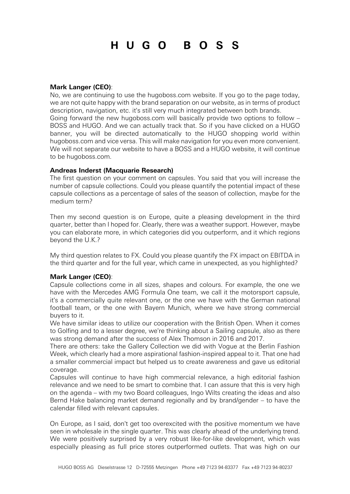#### **Mark Langer (CEO)**:

No, we are continuing to use the hugoboss.com website. If you go to the page today, we are not quite happy with the brand separation on our website, as in terms of product description, navigation, etc. it's still very much integrated between both brands. Going forward the new hugoboss.com will basically provide two options to follow – BOSS and HUGO. And we can actually track that. So if you have clicked on a HUGO banner, you will be directed automatically to the HUGO shopping world within hugoboss.com and vice versa. This will make navigation for you even more convenient. We will not separate our website to have a BOSS and a HUGO website, it will continue to be hugoboss.com.

#### **Andreas Inderst (Macquarie Research)**

The first question on your comment on capsules. You said that you will increase the number of capsule collections. Could you please quantify the potential impact of these capsule collections as a percentage of sales of the season of collection, maybe for the medium term?

Then my second question is on Europe, quite a pleasing development in the third quarter, better than I hoped for. Clearly, there was a weather support. However, maybe you can elaborate more, in which categories did you outperform, and it which regions beyond the U.K.?

My third question relates to FX. Could you please quantify the FX impact on EBITDA in the third quarter and for the full year, which came in unexpected, as you highlighted?

#### **Mark Langer (CEO)**:

Capsule collections come in all sizes, shapes and colours. For example, the one we have with the Mercedes AMG Formula One team, we call it the motorsport capsule, it's a commercially quite relevant one, or the one we have with the German national football team, or the one with Bayern Munich, where we have strong commercial buyers to it.

We have similar ideas to utilize our cooperation with the British Open. When it comes to Golfing and to a lesser degree, we're thinking about a Sailing capsule, also as there was strong demand after the success of Alex Thomson in 2016 and 2017.

There are others: take the Gallery Collection we did with Vogue at the Berlin Fashion Week, which clearly had a more aspirational fashion-inspired appeal to it. That one had a smaller commercial impact but helped us to create awareness and gave us editorial coverage.

Capsules will continue to have high commercial relevance, a high editorial fashion relevance and we need to be smart to combine that. I can assure that this is very high on the agenda – with my two Board colleagues, Ingo Wilts creating the ideas and also Bernd Hake balancing market demand regionally and by brand/gender – to have the calendar filled with relevant capsules.

On Europe, as I said, don't get too overexcited with the positive momentum we have seen in wholesale in the single quarter. This was clearly ahead of the underlying trend. We were positively surprised by a very robust like-for-like development, which was especially pleasing as full price stores outperformed outlets. That was high on our